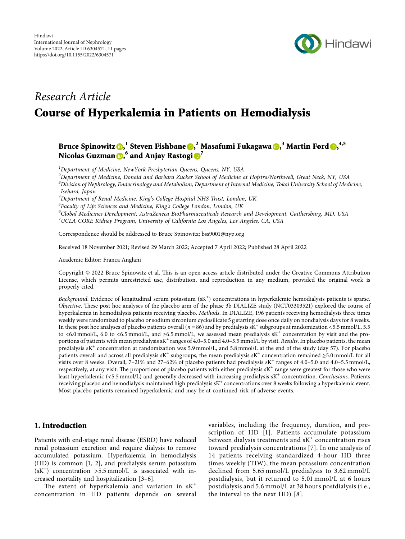

# Research Article Course of Hyperkalemia in Patients on Hemodialysis

## Bruce Spinowitz $\bm{\odot},^1$  $\bm{\odot},^1$  $\bm{\odot},^1$  Steven Fishbane $\bm{\odot},^2$  Masafumi Fukagawa $\bm{\odot},^3$  Martin Ford  $\bm{\odot},^{4,5}$ Nicolas Guzman <mark>()</mark>[,](https://orcid.org/0000-0002-9503-0530) $^6$  and Anjay Rastogi () $^7$  $^7$

 ${}^{1}$ Department of Medicine, NewYork-Presbyterian Queens, Queens, NY, USA

 $^2$ Department of Medicine, Donald and Barbara Zucker School of Medicine at Hofstra/Northwell, Great Neck, NY, USA  $^3$ Division of Nephrology, Endocrinology and Metabolism, Department of Internal Medicine, Tokai University School of Medicine, Isehara, Japan

 $^4$ Department of Renal Medicine, King's College Hospital NHS Trust, London, UK

<sup>5</sup>Faculty of Life Sciences and Medicine, King's College London, London, UK

 $^6$ Global Medicines Development, AstraZeneca BioPharmaceuticals Research and Development, Gaithersburg, MD, USA  $^7$ UCLA CORE Kidney Program, University of California Los Angeles, Los Angeles, CA, USA

Correspondence should be addressed to Bruce Spinowitz; [bss9001@nyp.org](mailto:bss9001@nyp.org)

Received 18 November 2021; Revised 29 March 2022; Accepted 7 April 2022; Published 28 April 2022

Academic Editor: Franca Anglani

Copyright  $@$  2022 Bruce Spinowitz et al. This is an open access article distributed under the [Creative Commons Attribution](https://creativecommons.org/licenses/by/4.0/) [License,](https://creativecommons.org/licenses/by/4.0/) which permits unrestricted use, distribution, and reproduction in any medium, provided the original work is properly cited.

Background. Evidence of longitudinal serum potassium (sK<sup>+</sup>) concentrations in hyperkalemic hemodialysis patients is sparse. Objective. These post hoc analyses of the placebo arm of the phase 3b DIALIZE study (NCT03303521) explored the course of hyperkalemia in hemodialysis patients receiving placebo. Methods. In DIALIZE, 196 patients receiving hemodialysis three times weekly were randomized to placebo or sodium zirconium cyclosilicate 5 g starting dose once daily on nondialysis days for 8 weeks. In these post hoc analyses of placebo patients overall ( $n = 86$ ) and by predialysis sK<sup>+</sup> subgroups at randomization <5.5 mmol/L, 5.5 to <6.0 mmol/L, 6.0 to <6.5 mmol/L, and  $\geq 6.5$  mmol/L, we assessed mean predialysis sK<sup>+</sup> concentration by visit and the proportions of patients with mean predialysis  $sK^+$  ranges of 4.0–5.0 and 4.0–5.5 mmol/L by visit. Results. In placebo patients, the mean predialysis sK<sup>+</sup> concentration at randomization was 5.9 mmol/L, and 5.8 mmol/L at the end of the study (day 57). For placebo patients overall and across all predialysis sK<sup>+</sup> subgroups, the mean predialysis sK<sup>+</sup> concentration remained ≥5.0 mmol/L for all visits over 8 weeks. Overall, 7-21% and 27-62% of placebo patients had predialysis  $sK^+$  ranges of 4.0-5.0 and 4.0-5.5 mmol/L, respectively, at any visit. The proportions of placebo patients with either predialysis  $sK^+$  range were greatest for those who were least hyperkalemic (<5.5 mmol/L) and generally decreased with increasing predialysis sK<sup>+</sup> concentration. Conclusions. Patients receiving placebo and hemodialysis maintained high predialysis sK<sup>+</sup> concentrations over 8 weeks following a hyperkalemic event. Most placebo patients remained hyperkalemic and may be at continued risk of adverse events.

## 1. Introduction

Patients with end-stage renal disease (ESRD) have reduced renal potassium excretion and require dialysis to remove accumulated potassium. Hyperkalemia in hemodialysis (HD) is common [[1, 2\]](#page-10-0), and predialysis serum potassium  $(sK<sup>+</sup>)$  concentration >5.5 mmol/L is associated with increased mortality and hospitalization [[3–6\]](#page-10-0).

The extent of hyperkalemia and variation in  $sK^+$ concentration in HD patients depends on several variables, including the frequency, duration, and prescription of HD [\[1\]](#page-10-0). Patients accumulate potassium between dialysis treatments and  $sK^+$  concentration rises toward predialysis concentrations [[7](#page-10-0)]. In one analysis of 14 patients receiving standardized 4-hour HD three times weekly (TIW), the mean potassium concentration declined from 5.65 mmol/L predialysis to 3.62 mmol/L postdialysis, but it returned to 5.01 mmol/L at 6 hours postdialysis and 5.6 mmol/L at 38 hours postdialysis (i.e., the interval to the next HD) [[8](#page-10-0)].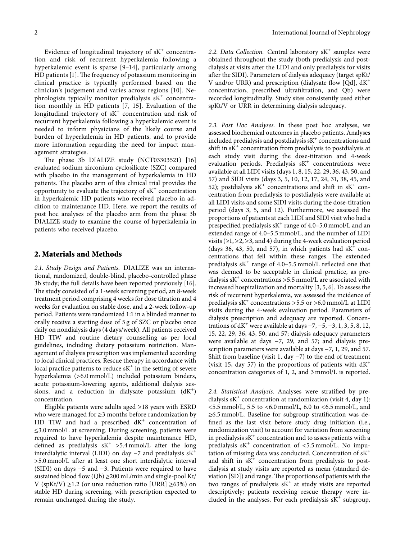Evidence of longitudinal trajectory of  $sK^+$  concentration and risk of recurrent hyperkalemia following a hyperkalemic event is sparse [\[9–14\]](#page-10-0), particularly among  $HD$  patients [\[1\]](#page-10-0). The frequency of potassium monitoring in clinical practice is typically performed based on the clinician's judgement and varies across regions [[10](#page-10-0)]. Nephrologists typically monitor predialysis  $sK^+$  concentration monthly in HD patients [[7, 15](#page-10-0)]. Evaluation of the longitudinal trajectory of  $sK^+$  concentration and risk of recurrent hyperkalemia following a hyperkalemic event is needed to inform physicians of the likely course and burden of hyperkalemia in HD patients, and to provide more information regarding the need for impact management strategies.

The phase 3b DIALIZE study (NCT03303521) [[16\]](#page-10-0) evaluated sodium zirconium cyclosilicate (SZC) compared with placebo in the management of hyperkalemia in HD patients. The placebo arm of this clinical trial provides the opportunity to evaluate the trajectory of  $sK^+$  concentration in hyperkalemic HD patients who received placebo in addition to maintenance HD. Here, we report the results of post hoc analyses of the placebo arm from the phase 3b DIALIZE study to examine the course of hyperkalemia in patients who received placebo.

#### **2. Materials and Methods**

*2.1. Study Design and Patients.* DIALIZE was an international, randomized, double-blind, placebo-controlled phase 3b study; the full details have been reported previously [\[16](#page-10-0)]. The study consisted of a 1-week screening period, an 8-week treatment period comprising 4 weeks for dose titration and 4 weeks for evaluation on stable dose, and a 2-week follow-up period. Patients were randomized 1:1 in a blinded manner to orally receive a starting dose of 5 g of SZC or placebo once daily on nondialysis days (4 days/week). All patients received HD TIW and routine dietary counselling as per local guidelines, including dietary potassium restriction. Management of dialysis prescription was implemented according to local clinical practices. Rescue therapy in accordance with local practice patterns to reduce  $sK^+$  in the setting of severe hyperkalemia (>6.0 mmol/L) included potassium binders, acute potassium-lowering agents, additional dialysis sessions, and a reduction in dialysate potassium  $(dK<sup>+</sup>)$ concentration.

Eligible patients were adults aged  $\geq$ 18 years with ESRD who were managed for ≥3 months before randomization by HD TIW and had a prescribed  $dK^+$  concentration of ≤3.0 mmol/L at screening. During screening, patients were required to have hyperkalemia despite maintenance HD, defined as predialysis  $sK^+ > 5.4$  mmol/L after the long interdialytic interval (LIDI) on day −7 and predialysis sK+ >5.0 mmol/L after at least one short interdialytic interval (SIDI) on days −5 and −3. Patients were required to have sustained blood flow  $(Qb) \ge 200$  mL/min and single-pool Kt/ V (spKt/V) ≥1.2 (or urea reduction ratio [URR] ≥63%) on stable HD during screening, with prescription expected to remain unchanged during the study.

2.2. Data Collection. Central laboratory sK<sup>+</sup> samples were obtained throughout the study (both predialysis and postdialysis at visits after the LIDI and only predialysis for visits after the SIDI). Parameters of dialysis adequacy (target spKt/ V and/or URR) and prescription (dialysate flow [Qd],  $dK^+$ concentration, prescribed ultrafiltration, and Qb) were recorded longitudinally. Study sites consistently used either spKt/V or URR in determining dialysis adequacy.

*2.3. Post Hoc Analyses.* In these post hoc analyses, we assessed biochemical outcomes in placebo patients. Analyses included predialysis and postdialysis  $sK^+$  concentrations and shift in  $sK<sup>+</sup>$  concentration from predialysis to postdialysis at each study visit during the dose-titration and 4-week evaluation periods. Predialysis sK<sup>+</sup> concentrations were available at all LIDI visits (days 1, 8, 15, 22, 29, 36, 43, 50, and 57) and SIDI visits (days 3, 5, 10, 12, 17, 24, 31, 38, 45, and 52); postdialysis  $sK^+$  concentrations and shift in  $sK^+$  concentration from predialysis to postdialysis were available at all LIDI visits and some SIDI visits during the dose-titration period (days 3, 5, and 12). Furthermore, we assessed the proportions of patients at each LIDI and SIDI visit who had a prespecified predialysis  $sK^+$  range of 4.0–5.0 mmol/L and an extended range of 4.0–5.5 mmol/L, and the number of LIDI visits ( $\geq 1, \geq 2, \geq 3$ , and 4) during the 4-week evaluation period (days 36, 43, 50, and 57), in which patients had  $sK^+$  concentrations that fell within these ranges. The extended predialysis  $sK^+$  range of 4.0–5.5 mmol/L reflected one that was deemed to be acceptable in clinical practice, as predialysis  $sK^+$  concentrations > 5.5 mmol/L are associated with increased hospitalization and mortality [\[3, 5, 6\]](#page-10-0). To assess the risk of recurrent hyperkalemia, we assessed the incidence of predialysis  $sK^+$  concentrations >5.5 or >6.0 mmol/L at LIDI visits during the 4-week evaluation period. Parameters of dialysis prescription and adequacy are reported. Concentrations of dK<sup>+</sup> were available at days  $-7, -5, -3, 1, 3, 5, 8, 12$ , 15, 22, 29, 36, 43, 50, and 57; dialysis adequacy parameters were available at days −7, 29, and 57; and dialysis prescription parameters were available at days −7, 1, 29, and 57. Shift from baseline (visit 1, day −7) to the end of treatment (visit 15, day 57) in the proportions of patients with  $dK^+$ concentration categories of 1, 2, and 3 mmol/L is reported.

*2.4. Statistical Analysis.* Analyses were stratified by predialysis  $sK^+$  concentration at randomization (visit 4, day 1):  $\langle 5.5 \text{ mmol/L}, 5.5 \text{ to } \langle 6.0 \text{ mmol/L}, 6.0 \text{ to } \langle 6.5 \text{ mmol/L}, \text{ and} \rangle$ ≥6.5 mmol/L. Baseline for subgroup stratification was defined as the last visit before study drug initiation (i.e., randomization visit) to account for variation from screening in predialysis  $sK^+$  concentration and to assess patients with a predialysis  $sK^+$  concentration of <5.5 mmol/L. No imputation of missing data was conducted. Concentration of sK<sup>+</sup> and shift in  $sK^+$  concentration from predialysis to postdialysis at study visits are reported as mean (standard deviation [SD]) and range. The proportions of patients with the two ranges of predialysis  $sK^+$  at study visits are reported descriptively; patients receiving rescue therapy were included in the analyses. For each predialysis  $sK^+$  subgroup,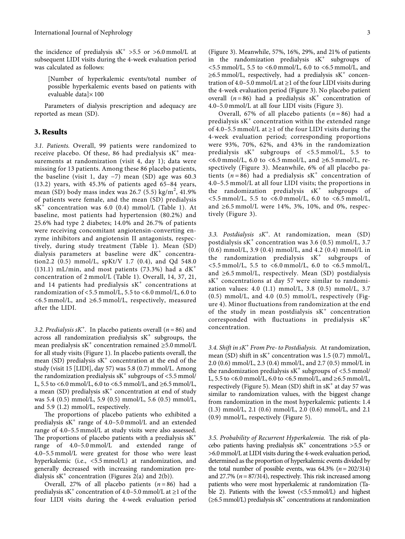the incidence of predialysis  $sK^+ > 5.5$  or  $> 6.0$  mmol/L at subsequent LIDI visits during the 4-week evaluation period was calculated as follows:

[Number of hyperkalemic events/total number of possible hyperkalemic events based on patients with evaluable data]× 100

Parameters of dialysis prescription and adequacy are reported as mean (SD).

#### **3. Results**

*3.1. Patients.* Overall, 99 patients were randomized to receive placebo. Of these, 86 had predialysis  $sK^+$  measurements at randomization (visit 4, day 1); data were missing for 13 patients. Among these 86 placebo patients, the baseline (visit 1, day −7) mean (SD) age was 60.3 (13.2) years, with 45.3% of patients aged 65–84 years, mean (SD) body mass index was 26.7 (5.5) kg/m<sup>2</sup>, 41.9% of patients were female, and the mean (SD) predialysis  $sK^+$  concentration was 6.0 (0.4) mmol/L (Table [1](#page-3-0)). At baseline, most patients had hypertension (80.2%) and 25.6% had type 2 diabetes; 14.0% and 26.7% of patients were receiving concomitant angiotensin-converting enzyme inhibitors and angiotensin II antagonists, respectively, during study treatment (Table [1\)](#page-3-0). Mean (SD) dialysis parameters at baseline were  $dK^+$  concentration2.2 (0.5) mmol/L, spKt/V 1.7 (0.4), and Qd 548.0  $(131.1)$  mL/min, and most patients (73.3%) had a dK<sup>+</sup> concentration of 2 mmol/L (Table [1\)](#page-3-0). Overall, 14, 37, 21, and 14 patients had predialysis  $sK^+$  concentrations at randomization of  $<$  5.5 mmol/L, 5.5 to  $<$  6.0 mmol/L, 6.0 to <6.5 mmol/L, and ≥6.5 mmol/L, respectively, measured after the LIDI.

3.2. Predialysis s $K^+$ . In placebo patients overall ( $n = 86$ ) and across all randomization predialysis  $sK^+$  subgroups, the mean predialysis sK<sup>+</sup> concentration remained  $\geq 5.0$  mmol/L for all study visits (Figure [1](#page--1-0)). In placebo patients overall, the mean (SD) predialysis  $sK^+$  concentration at the end of the study (visit 15 [LIDI], day 57) was 5.8 (0.7) mmol/L. Among the randomization predialysis  $sK^+$  subgroups of <5.5 mmol/ L, 5.5 to <6.0 mmol/L, 6.0 to <6.5 mmol/L, and ≥6.5 mmol/L, a mean (SD) predialysis  $sK^+$  concentration at end of study was 5.4 (0.5) mmol/L, 5.9 (0.5) mmol/L, 5.6 (0.5) mmol/L, and 5.9 (1.2) mmol/L, respectively.

The proportions of placebo patients who exhibited a predialysis  $sK^+$  range of 4.0-5.0 mmol/L and an extended range of 4.0–5.5 mmol/L at study visits were also assessed. The proportions of placebo patients with a predialysis  $sK^+$ range of 4.0–5.0 mmol/L and extended range of 4.0–5.5 mmol/L were greatest for those who were least hyperkalemic (i.e., <5.5 mmol/L) at randomization, and generally decreased with increasing randomization predialysis  $sK^+$  concentration (Figures [2\(a\)](#page--1-0) and [2\(b\)\)](#page--1-0).

Overall, 27% of all placebo patients  $(n = 86)$  had a predialysis sK<sup>+</sup> concentration of 4.0–5.0 mmol/L at  $\geq$ 1 of the four LIDI visits during the 4-week evaluation period

(Figure [3\)](#page--1-0). Meanwhile, 57%, 16%, 29%, and 21% of patients in the randomization predialysis  $sK^+$  subgroups of  $<$  5.5 mmol/L, 5.5 to  $<$  6.0 mmol/L, 6.0 to  $<$  6.5 mmol/L, and  $\geq 6.5$  mmol/L, respectively, had a predialysis sK<sup>+</sup> concentration of 4.0–5.0 mmol/L at  $\geq 1$  of the four LIDI visits during the 4-week evaluation period (Figure [3\)](#page--1-0). No placebo patient overall  $(n = 86)$  had a predialysis sK<sup>+</sup> concentration of 4.0–5.0 mmol/L at all four LIDI visits (Figure [3](#page--1-0)).

Overall, 67% of all placebo patients  $(n = 86)$  had a predialysis  $sK^+$  concentration within the extended range of 4.0–5.5 mmol/L at  $\geq$ 1 of the four LIDI visits during the 4-week evaluation period; corresponding proportions were 93%, 70%, 62%, and 43% in the randomization predialysis  $sK^+$  subgroups of  $\langle 5.5 \text{ mmol/L}, 5.5 \text{ to} \rangle$  $<6.0$  mmol/L, 6.0 to  $<6.5$  mmol/L, and  $\geq6.5$  mmol/L, respectively (Figure [3\)](#page--1-0). Meanwhile, 6% of all placebo patients ( $n = 86$ ) had a predialysis  $sK^+$  concentration of 4.0–5.5 mmol/L at all four LIDI visits; the proportions in the randomization predialysis  $sK^+$  subgroups of <5.5 mmol/L, 5.5 to <6.0 mmol/L, 6.0 to <6.5 mmol/L, and  $\geq 6.5$  mmol/L were 14%, 3%, 10%, and 0%, respectively (Figure [3\)](#page--1-0).

*3.3. Postdialysis sK<sup>+</sup> .* At randomization, mean (SD) postdialysis  $sK^+$  concentration was 3.6 (0.5) mmol/L, 3.7 (0.6) mmol/L, 3.9 (0.4) mmol/L, and 4.2 (0.4) mmol/L in the randomization predialysis  $sK^+$  subgroups of  $\langle 5.5 \text{ mmol/L}, 5.5 \text{ to } \langle 6.0 \text{ mmol/L}, 6.0 \text{ to } \langle 6.5 \text{ mmol/L},$ and ≥6.5 mmol/L, respectively. Mean (SD) postdialysis  $sK<sup>+</sup>$  concentrations at day 57 were similar to randomization values: 4.0 (1.1) mmol/L, 3.8 (0.5) mmol/L, 3.7 (0.5) mmol/L, and 4.0 (0.5) mmol/L, respectively (Figure [4](#page--1-0)). Minor fluctuations from randomization at the end of the study in mean postdialysis  $sK^+$  concentration corresponded with fluctuations in predialysis sK<sup>+</sup> concentration.

*3.4. Shift in sK<sup>+</sup> From Pre- to Postdialysis.* At randomization, mean (SD) shift in  $sK^+$  concentration was 1.5 (0.7) mmol/L, 2.0 (0.6) mmol/L, 2.3 (0.4) mmol/L, and 2.7 (0.5) mmol/L in the randomization predialysis  $sK^+$  subgroups of  $\langle 5.5 \text{ mmol} \rangle$ L, 5.5 to <6.0 mmol/L, 6.0 to <6.5 mmol/L, and ≥6.5 mmol/L, respectively (Figure [5\)](#page--1-0). Mean (SD) shift in  $sK^+$  at day 57 was similar to randomization values, with the biggest change from randomization in the most hyperkalemic patients: 1.4 (1.3) mmol/L, 2.1 (0.6) mmol/L, 2.0 (0.6) mmol/L, and 2.1 (0.9) mmol/L, respectively (Figure [5\)](#page--1-0).

*3.5. Probability of Recurrent Hyperkalemia. The risk of pla*cebo patients having predialysis  $sK^+$  concentrations >5.5 or >6.0 mmol/L at LIDI visits during the 4-week evaluation period, determined as the proportion of hyperkalemic events divided by the total number of possible events, was  $64.3\%$  ( $n = 202/314$ ) and  $27.7\%$  ( $n = 87/314$ ), respectively. This risk increased among patients who were most hyperkalemic at randomization (Ta-ble [2](#page-7-0)). Patients with the lowest  $\left( \langle 5.5 \text{ mmol/L} \rangle \right)$  and highest  $(\geq 6.5 \text{ mmol/L})$  predialysis sK<sup>+</sup> concentrations at randomization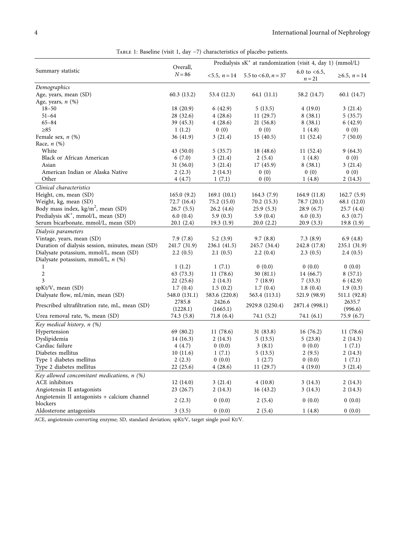| TABLE 1: Baseline (visit 1, day -7) characteristics of placebo patients. |  |  |
|--------------------------------------------------------------------------|--|--|
|--------------------------------------------------------------------------|--|--|

<span id="page-3-0"></span>

|                                                  |               | Predialysis sK <sup>+</sup> at randomization (visit 4, day 1) (mmol/L) |                          |                                 |                        |
|--------------------------------------------------|---------------|------------------------------------------------------------------------|--------------------------|---------------------------------|------------------------|
| Summary statistic                                | Overall,      |                                                                        |                          |                                 |                        |
|                                                  | $N = 86$      | $<5.5, n=14$                                                           | 5.5 to $<$ 6.0, $n = 37$ | 6.0 to $<6.5$ ,<br>$n\,{=}\,21$ | $≥6.5$ , <i>n</i> = 14 |
| Demographics                                     |               |                                                                        |                          |                                 |                        |
| Age, years, mean (SD)                            | 60.3(13.2)    | 53.4 (12.3)                                                            | 64.1 (11.1)              | 58.2 (14.7)                     | 60.1(14.7)             |
| Age, years, $n$ (%)                              |               |                                                                        |                          |                                 |                        |
| $18 - 50$                                        | 18(20.9)      | 6(42.9)                                                                | 5(13.5)                  | 4(19.0)                         | 3(21.4)                |
| $51 - 64$                                        | 28 (32.6)     | 4(28.6)                                                                | 11(29.7)                 | 8(38.1)                         | 5(35.7)                |
| $65 - 84$                                        | 39 (45.3)     | 4(28.6)                                                                | 21(56.8)                 | 8(38.1)                         | 6(42.9)                |
| $\geq 85$                                        | 1(1.2)        | 0(0)                                                                   | 0(0)                     | 1(4.8)                          | 0(0)                   |
| Female sex, $n$ $(\%)$                           | 36(41.9)      | 3(21.4)                                                                | 15(40.5)                 | 11(52.4)                        | 7(50.0)                |
| Race, $n$ (%)                                    |               |                                                                        |                          |                                 |                        |
| White                                            | 43(50.0)      | 5(35.7)                                                                | 18 (48.6)                | 11(52.4)                        | 9(64.3)                |
| Black or African American                        | 6(7.0)        | 3(21.4)                                                                | 2(5.4)                   | 1(4.8)                          | 0(0)                   |
| Asian                                            | 31 (36.0)     | 3(21.4)                                                                | 17(45.9)                 | 8(38.1)                         | 3(21.4)                |
| American Indian or Alaska Native                 | 2(2.3)        | 2(14.3)                                                                | 0(0)                     | 0(0)                            | 0(0)                   |
| Other                                            | 4(4.7)        | 1(7.1)                                                                 | 0(0)                     | 1(4.8)                          | 2(14.3)                |
| Clinical characteristics                         |               |                                                                        |                          |                                 |                        |
| Height, cm, mean (SD)                            | 165.0(9.2)    | 169.1(10.1)                                                            | 164.3(7.9)               | 164.9(11.8)                     | 162.7(5.9)             |
| Weight, kg, mean (SD)                            | 72.7 (16.4)   | 75.2 (15.0)                                                            | 70.2 (15.3)              | 78.7 (20.1)                     | 68.1 (12.0)            |
| Body mass index, $\text{kg/m}^2$ , mean (SD)     | 26.7(5.5)     | 26.2(4.6)                                                              | 25.9(5.3)                | 28.9(6.7)                       | 25.7(4.4)              |
| Predialysis sK <sup>+</sup> , mmol/L, mean (SD)  | 6.0(0.4)      | 5.9 $(0.3)$                                                            | 5.9 $(0.4)$              | 6.0(0.3)                        | 6.3 $(0.7)$            |
| Serum bicarbonate, mmol/L, mean (SD)             | 20.1(2.4)     | 19.3(1.9)                                                              | 20.0(2.2)                | 20.9(3.3)                       | 19.8(1.9)              |
| Dialysis parameters                              |               |                                                                        |                          |                                 |                        |
| Vintage, years, mean (SD)                        | 7.9(7.8)      | 5.2(3.9)                                                               | 9.7(8.8)                 | 7.3(8.9)                        | 6.9 $(4.8)$            |
| Duration of dialysis session, minutes, mean (SD) | 241.7 (31.9)  | 236.1(41.5)                                                            | 245.7 (34.4)             | 242.8 (17.8)                    | 235.1(31.9)            |
| Dialysate potassium, mmol/L, mean (SD)           | 2.2(0.5)      | 2.1(0.5)                                                               | 2.2(0.4)                 | 2.3(0.5)                        | 2.4(0.5)               |
| Dialysate potassium, mmol/L, n (%)               |               |                                                                        |                          |                                 |                        |
| 1                                                | 1(1.2)        | 1(7.1)                                                                 | 0(0.0)                   | 0(0.0)                          | 0(0.0)                 |
| $\sqrt{2}$                                       | 63 (73.3)     | 11(78.6)                                                               | 30(81.1)                 | 14 (66.7)                       | 8(57.1)                |
| 3                                                | 22(25.6)      | 2(14.3)                                                                | 7(18.9)                  | 7(33.3)                         | 6(42.9)                |
| spKt/V, mean (SD)                                | 1.7(0.4)      | 1.5(0.2)                                                               | 1.7(0.4)                 | 1.8(0.4)                        | 1.9(0.3)               |
| Dialysate flow, mL/min, mean (SD)                | 548.0 (131.1) | 583.6 (220.8)                                                          | 563.4 (113.1)            | 521.9 (98.9)                    | 511.1 (92.8)           |
|                                                  | 2785.8        | 2426.6                                                                 |                          |                                 | 2635.7                 |
| Prescribed ultrafiltration rate, mL, mean (SD)   | (1228.1)      | (1665.1)                                                               | 2929.8 (1250.4)          | 2871.4 (998.1)                  | (996.6)                |
| Urea removal rate, %, mean (SD)                  | 74.3 (5.8)    | 71.8(6.4)                                                              | 74.1 (5.2)               | 74.1(6.1)                       | 75.9 (6.7)             |
| Key medical history, n (%)                       |               |                                                                        |                          |                                 |                        |
| Hypertension                                     | 69 (80.2)     | 11(78.6)                                                               | 31(83.8)                 | 16(76.2)                        | 11(78.6)               |
| Dyslipidemia                                     | 14 (16.3)     | 2(14.3)                                                                | 5(13.5)                  | 5(23.8)                         | 2(14.3)                |
| Cardiac failure                                  | 4(4.7)        | 0(0.0)                                                                 | 3(8.1)                   | 0(0.0)                          | 1(7.1)                 |
| Diabetes mellitus                                | 10(11.6)      | 1(7.1)                                                                 | 5(13.5)                  | 2(9.5)                          | 2(14.3)                |
| Type 1 diabetes mellitus                         | 2(2.3)        | 0(0.0)                                                                 | 1(2.7)                   | 0(0.0)                          | 1(7.1)                 |
| Type 2 diabetes mellitus                         | 22(25.6)      | 4(28.6)                                                                | 11(29.7)                 | 4(19.0)                         | 3(21.4)                |
| Key allowed concomitant medications, $n$ (%)     |               |                                                                        |                          |                                 |                        |
| ACE inhibitors                                   | 12(14.0)      | 3(21.4)                                                                | 4(10.8)                  | 3(14.3)                         | 2(14.3)                |
| Angiotensin II antagonists                       | 23(26.7)      | 2(14.3)                                                                | 16(43.2)                 | 3(14.3)                         | 2(14.3)                |
| Angiotensin II antagonists + calcium channel     | 2(2.3)        | 0(0.0)                                                                 | 2(5.4)                   | 0(0.0)                          | 0(0.0)                 |
| blockers                                         |               |                                                                        |                          |                                 |                        |
| Aldosterone antagonists                          | 3(3.5)        | 0(0.0)                                                                 | 2(5.4)                   | 1(4.8)                          | 0(0.0)                 |

ACE, angiotensin-converting enzyme; SD, standard deviation; spKt/V, target single pool Kt/V.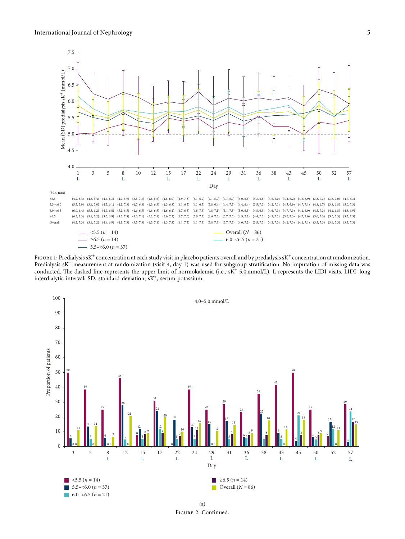

FIGURE 1: Predialysis sK<sup>+</sup> concentration at each study visit in placebo patients overall and by predialysis sK<sup>+</sup> concentration at randomization. Predialysis sK<sup>+</sup> measurement at randomization (visit 4, day 1) was used for subgroup stratification. No imputation of missing data was conducted. The dashed line represents the upper limit of normokalemia (i.e., sK<sup>+</sup> 5.0 mmol/L). L represents the LIDI visits. LIDI, long interdialytic interval; SD, standard deviation; sK<sup>+</sup>, serum potassium.



Figure 2: Continued.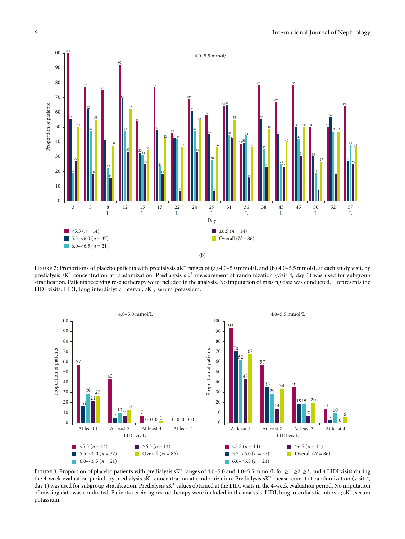

FIGURE 2: Proportions of placebo patients with predialysis sK<sup>+</sup> ranges of (a) 4.0-5.0 mmol/L and (b) 4.0-5.5 mmol/L at each study visit, by predialysis  $sK^{+}$  concentration at randomization. Predialysis  $sK^{+}$  measurement at randomization (visit 4, day 1) was used for subgroup stratification. Patients receiving rescue therapy were included in the analysis. No imputation of missing data was conducted. L represents the LIDI visits. LIDI, long interdialytic interval; sK<sup>+</sup>, serum potassium.



FIGURE 3: Proportion of placebo patients with predialysis  $sK^+$  ranges of 4.0–5.0 and 4.0–5.5 mmol/L for  $\geq 1$ ,  $\geq 2$ ,  $\geq 3$ , and 4 LIDI visits during the 4-week evaluation period, by predialysis  $sK^+$  concentration at randomization. Predialysis  $sK^+$  measurement at randomization (visit 4, day 1) was used for subgroup stratification. Predialysis sK<sup>+</sup> values obtained at the LIDI visits in the 4-week evaluation period. No imputation of missing data was conducted. Patients receiving rescue therapy were included in the analysis. LIDI, long interdialytic interval; sK<sup>+</sup>, serum potassium.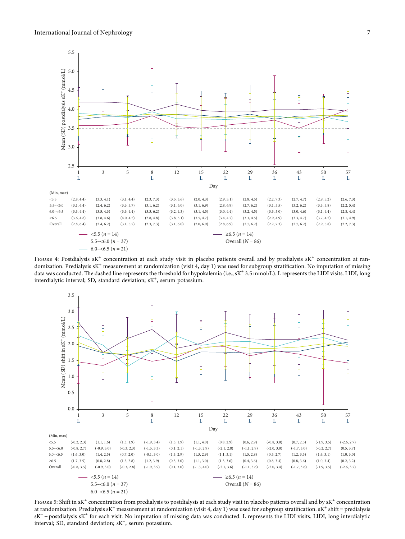

FIGURE 4: Postdialysis sK<sup>+</sup> concentration at each study visit in placebo patients overall and by predialysis sK<sup>+</sup> concentration at randomization. Predialysis sK<sup>+</sup> measurement at randomization (visit 4, day 1) was used for subgroup stratification. No imputation of missing data was conducted. The dashed line represents the threshold for hypokalemia (i.e., sK<sup>+</sup> 3.5 mmol/L). L represents the LIDI visits. LIDI, long interdialytic interval; SD, standard deviation; sK<sup>+</sup>, serum potassium.



FIGURE 5: Shift in  $sK^+$  concentration from predialysis to postdialysis at each study visit in placebo patients overall and by  $sK^+$  concentration at randomization. Predialysis sK<sup>+</sup> measurement at randomization (visit 4, day 1) was used for subgroup stratification. sK<sup>+</sup> shift = predialysis sK+ <sup>−</sup> postdialysis sK+ for each visit. No imputation of missing data was conducted. L represents the LIDI visits. LIDI, long interdialytic interval; SD, standard deviation; sK<sup>+</sup>, serum potassium.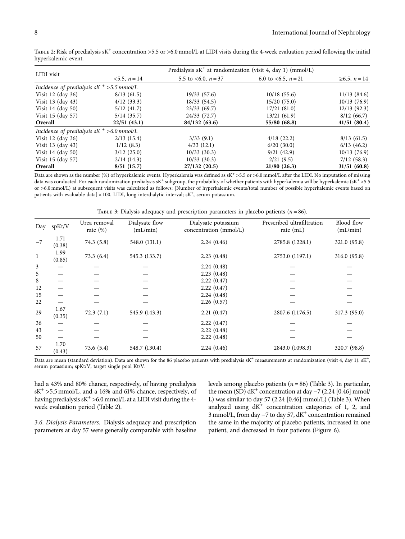| LIDI visit                                   |                 |                       | Predialysis $sK^+$ at randomization (visit 4, day 1) (mmol/L) |              |  |  |  |  |
|----------------------------------------------|-----------------|-----------------------|---------------------------------------------------------------|--------------|--|--|--|--|
|                                              | $<5.5, n=14$    | 5.5 to <6.0, $n = 37$ | 6.0 to <6.5, $n = 21$                                         | $≥6.5, n=14$ |  |  |  |  |
| Incidence of predialysis $sK^+ > 5.5$ mmol/L |                 |                       |                                                               |              |  |  |  |  |
| Visit 12 (day 36)                            | 8/13(61.5)      | 19/33(57.6)           | $10/18$ (55.6)                                                | 11/13(84.6)  |  |  |  |  |
| Visit 13 $\frac{day 43}{ }$                  | 4/12(33.3)      | 18/33(54.5)           | 15/20(75.0)                                                   | 10/13(76.9)  |  |  |  |  |
| Visit 14 $\frac{day 50}{ }$                  | 5/12(41.7)      | 23/33(69.7)           | 17/21(81.0)                                                   | 12/13(92.3)  |  |  |  |  |
| Visit 15 $\frac{day 57}{ }$                  | 5/14(35.7)      | 24/33(72.7)           | 13/21(61.9)                                                   | 8/12(66.7)   |  |  |  |  |
| Overall                                      | 22/51(43.1)     | 84/132(63.6)          | 55/80 (68.8)                                                  | 41/51(80.4)  |  |  |  |  |
| Incidence of predialysis $sK^+ > 6.0$ mmol/L |                 |                       |                                                               |              |  |  |  |  |
| Visit 12 (day 36)                            | $2/13$ $(15.4)$ | 3/33(9.1)             | 4/18(22.2)                                                    | 8/13(61.5)   |  |  |  |  |
| Visit 13 $\frac{day 43}{ }$                  | 1/12(8.3)       | 4/33(12.1)            | 6/20(30.0)                                                    | 6/13(46.2)   |  |  |  |  |
| Visit 14 $\frac{day 50}{ }$                  | 3/12(25.0)      | $10/33$ (30.3)        | 9/21(42.9)                                                    | 10/13(76.9)  |  |  |  |  |
| Visit 15 (day 57)                            | 2/14(14.3)      | 10/33(30.3)           | 2/21(9.5)                                                     | 7/12(58.3)   |  |  |  |  |
| Overall                                      | 8/51(15.7)      | 27/132(20.5)          | $21/80$ (26.3)                                                | 31/51(60.8)  |  |  |  |  |

<span id="page-7-0"></span>TABLE 2: Risk of predialysis sK<sup>+</sup> concentration >5.5 or >6.0 mmol/L at LIDI visits during the 4-week evaluation period following the initial hyperkalemic event.

Data are shown as the number (%) of hyperkalemic events. Hyperkalemia was defined as sK<sup>+</sup> >5.5 or >6.0 mmol/L after the LIDI. No imputation of missing data was conducted. For each randomization predialysis sK<sup>+</sup> subgroup, the probability of whether patients with hyperkalemia will be hyperkalemic (sK<sup>+</sup> >5.5 or >6.0 mmol/L) at subsequent visits was calculated as follows: [Number of hyperkalemic events/total number of possible hyperkalemic events based on patients with evaluable data]  $\times$  100. LIDI, long interdialytic interval; sK<sup>+</sup>, serum potassium.

TABLE 3: Dialysis adequacy and prescription parameters in placebo patients  $(n = 86)$ .

| Day          | spKt/V         | Urea removal<br>rate $(\%)$ | Dialysate flow<br>(mL/min) | Dialysate potassium<br>concentration (mmol/L) | Prescribed ultrafiltration<br>rate $(mL)$ | Blood flow<br>(mL/min) |
|--------------|----------------|-----------------------------|----------------------------|-----------------------------------------------|-------------------------------------------|------------------------|
| $-7$         | 1.71<br>(0.38) | 74.3(5.8)                   | 548.0 (131.1)              | 2.24(0.46)                                    | 2785.8 (1228.1)                           | 321.0 (95.8)           |
| $\mathbf{1}$ | 1.99<br>(0.85) | 73.3(6.4)                   | 545.3 (133.7)              | 2.23(0.48)                                    | 2753.0 (1197.1)                           | 316.0 (95.8)           |
| 3            |                |                             |                            | 2.24(0.48)                                    |                                           |                        |
| 5            |                |                             |                            | 2.23(0.48)                                    |                                           |                        |
| 8            |                |                             |                            | 2.22(0.47)                                    |                                           |                        |
| 12           |                |                             |                            | 2.22(0.47)                                    |                                           |                        |
| 15           |                |                             |                            | 2.24(0.48)                                    |                                           |                        |
| 22           |                |                             |                            | 2.26(0.57)                                    |                                           |                        |
| 29           | 1.67<br>(0.35) | 72.3(7.1)                   | 545.9 (143.3)              | 2.21(0.47)                                    | 2807.6 (1176.5)                           | 317.3 (95.0)           |
| 36           |                |                             |                            | 2.22(0.47)                                    |                                           |                        |
| 43           |                |                             |                            | 2.22(0.48)                                    |                                           |                        |
| 50           |                |                             |                            | 2.22(0.48)                                    |                                           |                        |
| 57           | 1.70<br>(0.43) | 73.6(5.4)                   | 548.7 (130.4)              | 2.24(0.46)                                    | 2843.0 (1098.3)                           | 320.7 (98.8)           |

Data are mean (standard deviation). Data are shown for the 86 placebo patients with predialysis  $sK^+$  measurements at randomization (visit 4, day 1).  $sK^+$ serum potassium; spKt/V, target single pool Kt/V.

had a 43% and 80% chance, respectively, of having predialysis  $sK^+ > 5.5$  mmol/L, and a 16% and 61% chance, respectively, of having predialysis  $sK^+ > 6.0$  mmol/L at a LIDI visit during the 4week evaluation period (Table 2).

*3.6. Dialysis Parameters.* Dialysis adequacy and prescription parameters at day 57 were generally comparable with baseline levels among placebo patients (*n*= 86) (Table 3). In particular, the mean (SD) dK<sup>+</sup> concentration at day  $-7$  (2.24 [0.46] mmol/ L) was similar to day 57 (2.24 [0.46] mmol/L) (Table 3). When analyzed using  $dK^+$  concentration categories of 1, 2, and 3 mmol/L, from day −7 to day 57, dK<sup>+</sup> concentration remained the same in the majority of placebo patients, increased in one patient, and decreased in four patients (Figure [6](#page--1-0)).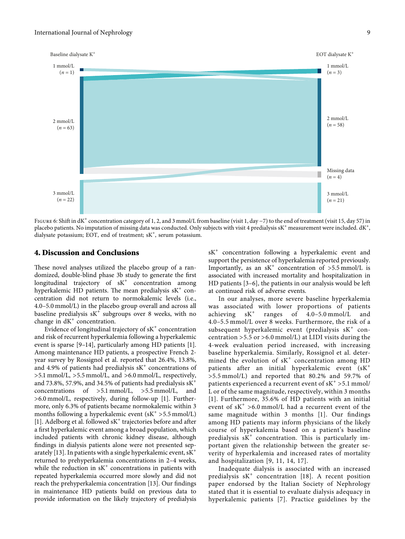

Figure 6: Shift in dK<sup>+</sup> concentration category of 1, 2, and 3 mmol/L from baseline (visit 1, day <sup>−</sup>7) to the end of treatment (visit 15, day 57) in placebo patients. No imputation of missing data was conducted. Only subjects with visit 4 predialysis sK<sup>+</sup> measurement were included. dK<sup>+</sup>, dialysate potassium; EOT, end of treatment; sK<sup>+</sup>, serum potassium.

#### 4. Discussion and Conclusions

These novel analyses utilized the placebo group of a randomized, double-blind phase 3b study to generate the first longitudinal trajectory of sK<sup>+</sup> concentration among hyperkalemic HD patients. The mean predialysis  $sK^+$  concentration did not return to normokalemic levels (i.e., 4.0–5.0 mmol/L) in the placebo group overall and across all baseline predialysis  $sK^+$  subgroups over 8 weeks, with no change in  $dK^+$  concentration.

Evidence of longitudinal trajectory of  $sK^+$  concentration and risk of recurrent hyperkalemia following a hyperkalemic event is sparse [[9](#page-10-0)–[14\]](#page-10-0), particularly among HD patients [\[1](#page-10-0)]. Among maintenance HD patients, a prospective French 2 year survey by Rossignol et al. reported that 26.4%, 13.8%, and 4.9% of patients had predialysis  $sK^+$  concentrations of >5.1 mmol/L, >5.5 mmol/L, and >6.0 mmol/L, respectively, and 73.8%, 57.9%, and 34.5% of patients had predialysis  $sK^+$ concentrations of >5.1 mmol/L, >5.5 mmol/L, and >6.0 mmol/L, respectively, during follow-up [\[1\]](#page-10-0). Furthermore, only 6.3% of patients became normokalemic within 3 months following a hyperkalemic event  $(sK^+ > 5.5 \text{ mmol/L})$ [\[1\]](#page-10-0). Adelborg et al. followed  $sK^+$  trajectories before and after a first hyperkalemic event among a broad population, which included patients with chronic kidney disease, although findings in dialysis patients alone were not presented separately [\[13](#page-10-0)]. In patients with a single hyperkalemic event, sK<sup>+</sup> returned to prehyperkalemia concentrations in 2–4 weeks, while the reduction in  $sK^+$  concentrations in patients with repeated hyperkalemia occurred more slowly and did not reach the prehyperkalemia concentration [\[13](#page-10-0)]. Our findings in maintenance HD patients build on previous data to provide information on the likely trajectory of predialysis

sK<sup>+</sup> concentration following a hyperkalemic event and support the persistence of hyperkalemia reported previously. Importantly, as an  $sK^+$  concentration of  $>5.5$  mmol/L is associated with increased mortality and hospitalization in HD patients [\[3–6\]](#page-10-0), the patients in our analysis would be left at continued risk of adverse events.

In our analyses, more severe baseline hyperkalemia was associated with lower proportions of patients achieving  $sK^+$  ranges of  $4.0-5.0$  mmol/L and 4.0–5.5 mmol/L over 8 weeks. Furthermore, the risk of a subsequent hyperkalemic event (predialysis  $sK^+$  concentration  $>5.5$  or  $>6.0$  mmol/L) at LIDI visits during the 4-week evaluation period increased, with increasing baseline hyperkalemia. Similarly, Rossignol et al. determined the evolution of  $sK^+$  concentration among HD patients after an initial hyperkalemic event (sK<sup>+</sup> >5.5 mmol/L) and reported that 80.2% and 59.7% of patients experienced a recurrent event of  $sK^+ > 5.1$  mmol/ L or of the same magnitude, respectively, within 3 months [[1](#page-10-0)]. Furthermore, 35.6% of HD patients with an initial event of  $sK^+ > 6.0$  mmol/L had a recurrent event of the same magnitude within  $3$  months [[1](#page-10-0)]. Our findings among HD patients may inform physicians of the likely course of hyperkalemia based on a patient's baseline predialysis  $sK^+$  concentration. This is particularly important given the relationship between the greater severity of hyperkalemia and increased rates of mortality and hospitalization [[9](#page-10-0), [11](#page-10-0), [14](#page-10-0), [17\]](#page-10-0).

Inadequate dialysis is associated with an increased predialysis  $sK^+$  concentration [[18](#page-10-0)]. A recent position paper endorsed by the Italian Society of Nephrology stated that it is essential to evaluate dialysis adequacy in hyperkalemic patients [[7\]](#page-10-0). Practice guidelines by the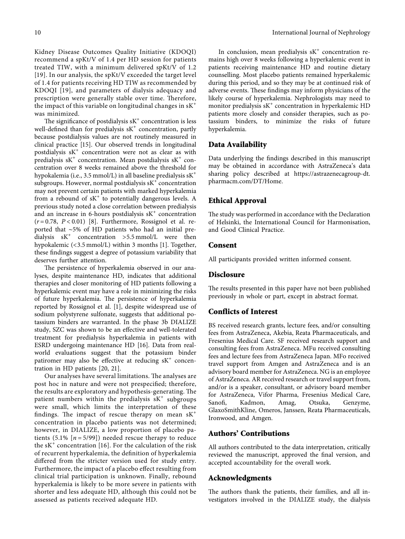Kidney Disease Outcomes Quality Initiative (KDOQI) recommend a spKt/V of 1.4 per HD session for patients treated TIW, with a minimum delivered spKt/V of 1.2 [[19](#page-10-0)]. In our analysis, the spKt/V exceeded the target level of 1.4 for patients receiving HD TIW as recommended by KDOQI [\[19\]](#page-10-0), and parameters of dialysis adequacy and prescription were generally stable over time. Therefore, the impact of this variable on longitudinal changes in  $sK^+$ was minimized.

The significance of postdialysis  $sK^+$  concentration is less well-defined than for predialysis  $sK^+$  concentration, partly because postdialysis values are not routinely measured in clinical practice [\[15](#page-10-0)]. Our observed trends in longitudinal postdialysis  $sK^+$  concentration were not as clear as with predialysis  $sK^+$  concentration. Mean postdialysis  $sK^+$  concentration over 8 weeks remained above the threshold for hypokalemia (i.e., 3.5 mmol/L) in all baseline predialysis  $sK^+$ subgroups. However, normal postdialysis  $sK^+$  concentration may not prevent certain patients with marked hyperkalemia from a rebound of  $sK^+$  to potentially dangerous levels. A previous study noted a close correlation between predialysis and an increase in 6-hours postdialysis  $sK^+$  concentration (*r* = 0.78, *P* < 0*.*01) [[8\]](#page-10-0). Furthermore, Rossignol et al. reported that ∼5% of HD patients who had an initial predialysis  $sK^+$  concentration >5.5 mmol/L were then hypokalemic (<3.5 mmol/L) within 3 months [\[1\]](#page-10-0). Together, these findings suggest a degree of potassium variability that deserves further attention.

The persistence of hyperkalemia observed in our analyses, despite maintenance HD, indicates that additional therapies and closer monitoring of HD patients following a hyperkalemic event may have a role in minimizing the risks of future hyperkalemia. The persistence of hyperkalemia reported by Rossignol et al. [[1](#page-10-0)], despite widespread use of sodium polystyrene sulfonate, suggests that additional potassium binders are warranted. In the phase 3b DIALIZE study, SZC was shown to be an effective and well-tolerated treatment for predialysis hyperkalemia in patients with ESRD undergoing maintenance HD [\[16](#page-10-0)]. Data from realworld evaluations suggest that the potassium binder patiromer may also be effective at reducing  $sK^+$  concentration in HD patients [[20](#page-10-0), [21\]](#page-10-0).

Our analyses have several limitations. The analyses are post hoc in nature and were not prespecified; therefore, the results are exploratory and hypothesis-generating. The patient numbers within the predialysis  $sK^+$  subgroups were small, which limits the interpretation of these findings. The impact of rescue therapy on mean  $sK^+$ concentration in placebo patients was not determined; however, in DIALIZE, a low proportion of placebo patients  $(5.1\%$  [ $n = 5/99$ ]) needed rescue therapy to reduce the  $sK^+$  concentration [\[16\]](#page-10-0). For the calculation of the risk of recurrent hyperkalemia, the definition of hyperkalemia differed from the stricter version used for study entry. Furthermore, the impact of a placebo effect resulting from clinical trial participation is unknown. Finally, rebound hyperkalemia is likely to be more severe in patients with shorter and less adequate HD, although this could not be assessed as patients received adequate HD.

In conclusion, mean predialysis  $sK^+$  concentration remains high over 8 weeks following a hyperkalemic event in patients receiving maintenance HD and routine dietary counselling. Most placebo patients remained hyperkalemic during this period, and so they may be at continued risk of adverse events. These findings may inform physicians of the likely course of hyperkalemia. Nephrologists may need to monitor predialysis  $sK^+$  concentration in hyperkalemic HD patients more closely and consider therapies, such as potassium binders, to minimize the risks of future hyperkalemia.

## **Data Availability**

Data underlying the findings described in this manuscript may be obtained in accordance with AstraZeneca's data sharing policy described at [https://astrazenecagroup-dt.](https://astrazenecagroup-dt.pharmacm.com/DT/Home) [pharmacm.com/DT/Home](https://astrazenecagroup-dt.pharmacm.com/DT/Home).

## **Ethical Approval**

The study was performed in accordance with the Declaration of Helsinki, the International Council for Harmonisation, and Good Clinical Practice.

## **Consent**

All participants provided written informed consent.

## **Disclosure**

The results presented in this paper have not been published previously in whole or part, except in abstract format.

## **Conflicts of Interest**

BS received research grants, lecture fees, and/or consulting fees from AstraZeneca, Akebia, Reata Pharmaceuticals, and Fresenius Medical Care. SF received research support and consulting fees from AstraZeneca. MFu received consulting fees and lecture fees from AstraZeneca Japan. MFo received travel support from Amgen and AstraZeneca and is an advisory board member for AstraZeneca. NG is an employee of AstraZeneca. AR received research or travel support from, and/or is a speaker, consultant, or advisory board member for AstraZeneca, Vifor Pharma, Fresenius Medical Care, Sanofi, Kadmon, Amag, Otsuka, Genzyme, GlaxoSmithKline, Omeros, Janssen, Reata Pharmaceuticals, Ironwood, and Amgen.

## **Authors' Contributions**

All authors contributed to the data interpretation, critically reviewed the manuscript, approved the final version, and accepted accountability for the overall work.

## **Acknowledgments**

The authors thank the patients, their families, and all investigators involved in the DIALIZE study, the dialysis